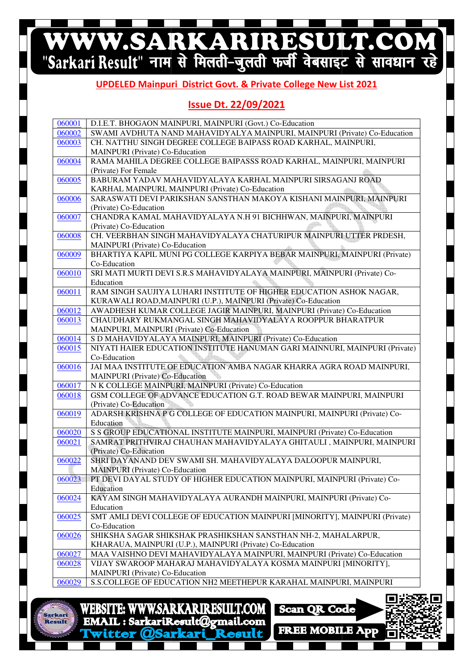# WWW.SARKARIRESULT.COM

#### **UPDELED Mainpuri Mainpuri District Govt. & Private College New List 2021**

#### **Issue Dt. 22/09/2021**

| 060001 | D.I.E.T. BHOGAON MAINPURI, MAINPURI (Govt.) Co-Education                               |
|--------|----------------------------------------------------------------------------------------|
| 060002 | SWAMI AVDHUTA NAND MAHAVIDYALYA MAINPURI, MAINPURI (Private) Co-Education              |
| 060003 | CH. NATTHU SINGH DEGREE COLLEGE BAIPASS ROAD KARHAL, MAINPURI,                         |
|        | <b>MAINPURI</b> (Private) Co-Education                                                 |
| 060004 | RAMA MAHILA DEGREE COLLEGE BAIPASSS ROAD KARHAL, MAINPURI, MAINPURI                    |
|        | (Private) For Female                                                                   |
| 060005 | BABURAM YADAV MAHAVIDYALAYA KARHAL MAINPURI SIRSAGANJ ROAD                             |
|        | KARHAL MAINPURI, MAINPURI (Private) Co-Education                                       |
| 060006 | SARASWATI DEVI PARIKSHAN SANSTHAN MAKOYA KISHANI MAINPURI, MAINPURI                    |
|        | (Private) Co-Education                                                                 |
| 060007 | CHANDRA KAMAL MAHAVIDYALAYA N.H 91 BICHHWAN, MAINPURI, MAINPURI                        |
|        | (Private) Co-Education                                                                 |
| 060008 | CH. VEERBHAN SINGH MAHAVIDYALAYA CHATURIPUR MAINPURI UTTER PRDESH,                     |
|        | <b>MAINPURI</b> (Private) Co-Education                                                 |
| 060009 | BHARTIYA KAPIL MUNI PG COLLEGE KARPIYA BEBAR MAINPURI, MAINPURI (Private)              |
|        | Co-Education                                                                           |
| 060010 | SRI MATI MURTI DEVI S.R.S MAHAVIDYALAYA MAINPURI, MAINPURI (Private) Co-               |
|        | Education                                                                              |
| 060011 | RAM SINGH SAUJIYA LUHARI INSTITUTE OF HIGHER EDUCATION ASHOK NAGAR,                    |
|        | KURAWALI ROAD, MAINPURI (U.P.), MAINPURI (Private) Co-Education                        |
| 060012 | AWADHESH KUMAR COLLEGE JAGIR MAINPURI, MAINPURI (Private) Co-Education                 |
| 060013 | CHAUDHARY RUKMANGAL SINGH MAHAVIDYALAYA ROOPPUR BHARATPUR                              |
|        | MAINPURI, MAINPURI (Private) Co-Education                                              |
| 060014 | S D MAHAVIDYALAYA MAINPURI, MAINPURI (Private) Co-Education                            |
| 060015 | NIYATI HAIER EDUCATION INSTITUTE HANUMAN GARI MAINNURI, MAINPURI (Private)             |
|        | Co-Education                                                                           |
| 060016 | JAI MAA INSTITUTE OF EDUCATION AMBA NAGAR KHARRA AGRA ROAD MAINPURI,                   |
|        | <b>MAINPURI</b> (Private) Co-Education                                                 |
| 060017 | N K COLLEGE MAINPURI, MAINPURI (Private) Co-Education                                  |
| 060018 | GSM COLLEGE OF ADVANCE EDUCATION G.T. ROAD BEWAR MAINPURI, MAINPURI                    |
|        | (Private) Co-Education                                                                 |
| 060019 | ADARSH KRISHNA P G COLLEGE OF EDUCATION MAINPURI, MAINPURI (Private) Co-               |
|        | Education<br>S S GROUP EDUCATIONAL INSTITUTE MAINPURI, MAINPURI (Private) Co-Education |
| 060020 | SAMRAT PRITHVIRAJ CHAUHAN MAHAVIDYALAYA GHITAULI, MAINPURI, MAINPURI                   |
| 060021 | (Private) Co-Education                                                                 |
| 060022 | SHRI DAYANAND DEV SWAMI SH. MAHAVIDYALAYA DALOOPUR MAINPURI,                           |
|        | <b>MAINPURI</b> (Private) Co-Education                                                 |
| 060023 | PT DEVI DAYAL STUDY OF HIGHER EDUCATION MAINPURI, MAINPURI (Private) Co-               |
|        | Education                                                                              |
| 060024 | KAYAM SINGH MAHAVIDYALAYA AURANDH MAINPURI, MAINPURI (Private) Co-                     |
|        | Education                                                                              |
| 060025 | SMT AMLI DEVI COLLEGE OF EDUCATION MAINPURI [MINORITY], MAINPURI (Private)             |
|        | Co-Education                                                                           |
| 060026 | SHIKSHA SAGAR SHIKSHAK PRASHIKSHAN SANSTHAN NH-2, MAHALARPUR,                          |
|        | KHARAUA, MAINPURI (U.P.), MAINPURI (Private) Co-Education                              |
| 060027 | MAA VAISHNO DEVI MAHAVIDYALAYA MAINPURI, MAINPURI (Private) Co-Education               |
| 060028 | VIJAY SWAROOP MAHARAJ MAHAVIDYALAYA KOSMA MAINPURI [MINORITY],                         |
|        | <b>MAINPURI</b> (Private) Co-Education                                                 |
| 060029 | S.S.COLLEGE OF EDUCATION NH2 MEETHEPUR KARAHAL MAINPURI, MAINPURI                      |
|        |                                                                                        |



**WWW.SARKARIRESULT.COM WEBSITE:** EMAIL: SarkariResult@gmail.com

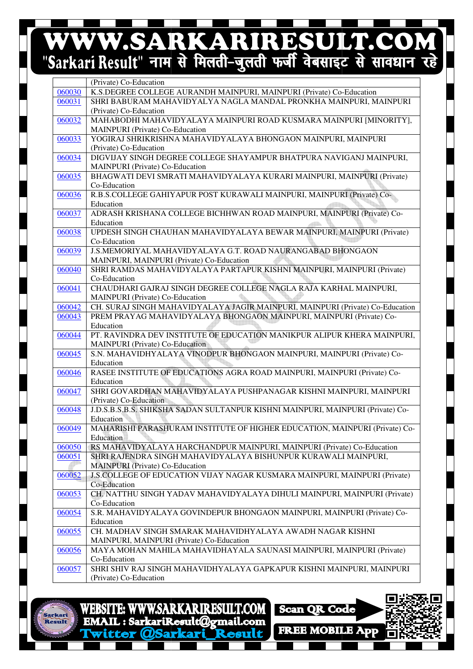## WWW.SARKARIRESULT.COM

|        | (Private) Co-Education                                                                                    |
|--------|-----------------------------------------------------------------------------------------------------------|
| 060030 | K.S.DEGREE COLLEGE AURANDH MAINPURI, MAINPURI (Private) Co-Education                                      |
| 060031 | SHRI BABURAM MAHAVIDYALYA NAGLA MANDAL PRONKHA MAINPURI, MAINPURI                                         |
|        | (Private) Co-Education                                                                                    |
| 060032 | MAHABODHI MAHAVIDYALAYA MAINPURI ROAD KUSMARA MAINPURI [MINORITY],                                        |
|        | MAINPURI (Private) Co-Education                                                                           |
| 060033 | YOGIRAJ SHRIKRISHNA MAHAVIDYALAYA BHONGAON MAINPURI, MAINPURI                                             |
|        | (Private) Co-Education<br>DIGVIJAY SINGH DEGREE COLLEGE SHAYAMPUR BHATPURA NAVIGANJ MAINPURI,             |
| 060034 |                                                                                                           |
|        | MAINPURI (Private) Co-Education<br>BHAGWATI DEVI SMRATI MAHAVIDYALAYA KURARI MAINPURI, MAINPURI (Private) |
| 060035 | Co-Education                                                                                              |
| 060036 | R.B.S.COLLEGE GAHIYAPUR POST KURAWALI MAINPURI, MAINPURI (Private) Co-                                    |
|        | Education                                                                                                 |
| 060037 | ADRASH KRISHANA COLLEGE BICHHWAN ROAD MAINPURI, MAINPURI (Private) Co-                                    |
|        | Education                                                                                                 |
| 060038 | UPDESH SINGH CHAUHAN MAHAVIDYALAYA BEWAR MAINPURI, MAINPURI (Private)                                     |
|        | Co-Education                                                                                              |
| 060039 | J.S.MEMORIYAL MAHAVIDYALAYA G.T. ROAD NAURANGABAD BHONGAON                                                |
|        | MAINPURI, MAINPURI (Private) Co-Education                                                                 |
| 060040 | SHRI RAMDAS MAHAVIDYALAYA PARTAPUR KISHNI MAINPURI, MAINPURI (Private)                                    |
|        | Co-Education                                                                                              |
| 060041 | CHAUDHARI GAJRAJ SINGH DEGREE COLLEGE NAGLA RAJA KARHAL MAINPURI,                                         |
|        | <b>MAINPURI</b> (Private) Co-Education                                                                    |
| 060042 | CH. SURAJ SINGH MAHAVIDYALAYA JAGIR MAINPURI, MAINPURI (Private) Co-Education                             |
| 060043 | PREM PRAYAG MAHAVIDYALAYA BHONGAON MAINPURI, MAINPURI (Private) Co-                                       |
|        | Education                                                                                                 |
| 060044 | PT. RAVINDRA DEV INSTITUTE OF EDUCATION MANIKPUR ALIPUR KHERA MAINPURI,                                   |
|        | <b>MAINPURI</b> (Private) Co-Education                                                                    |
| 060045 | S.N. MAHAVIDHYALAYA VINODPUR BHONGAON MAINPURI, MAINPURI (Private) Co-                                    |
|        | Education                                                                                                 |
| 060046 | RASEE INSTITUTE OF EDUCATIONS AGRA ROAD MAINPURI, MAINPURI (Private) Co-                                  |
|        | Education                                                                                                 |
| 060047 | SHRI GOVARDHAN MAHAVIDYALAYA PUSHPANAGAR KISHNI MAINPURI, MAINPURI                                        |
|        | (Private) Co-Education                                                                                    |
| 060048 | J.D.S.B.S.B.S. SHIKSHA SADAN SULTANPUR KISHNI MAINPURI, MAINPURI (Private) Co-                            |
|        | Education                                                                                                 |
| 060049 | MAHARISHI PARASHURAM INSTITUTE OF HIGHER EDUCATION, MAINPURI (Private) Co-<br>Education                   |
| 060050 | RS MAHAVIDYALAYA HARCHANDPUR MAINPURI, MAINPURI (Private) Co-Education                                    |
| 060051 | SHRI RAJENDRA SINGH MAHAVIDYALAYA BISHUNPUR KURAWALI MAINPURI,                                            |
|        | <b>MAINPURI</b> (Private) Co-Education                                                                    |
| 060052 | J.S.COLLEGE OF EDUCATION VIJAY NAGAR KUSMARA MAINPURI, MAINPURI (Private)                                 |
|        | Co-Education                                                                                              |
| 060053 | CH. NATTHU SINGH YADAV MAHAVIDYALAYA DIHULI MAINPURI, MAINPURI (Private)                                  |
|        | Co-Education                                                                                              |
| 060054 | S.R. MAHAVIDYALAYA GOVINDEPUR BHONGAON MAINPURI, MAINPURI (Private) Co-                                   |
|        | Education                                                                                                 |
| 060055 | CH. MADHAV SINGH SMARAK MAHAVIDHYALAYA AWADH NAGAR KISHNI                                                 |
|        | MAINPURI, MAINPURI (Private) Co-Education                                                                 |
| 060056 | MAYA MOHAN MAHILA MAHAVIDHAYALA SAUNASI MAINPURI, MAINPURI (Private)                                      |
|        | Co-Education                                                                                              |
| 060057 | SHRI SHIV RAJ SINGH MAHAVIDHYALAYA GAPKAPUR KISHNI MAINPURI, MAINPURI                                     |
|        | (Private) Co-Education                                                                                    |

WEBSITE: WWW.SARKARIRESULT.COM **EMAIL: SarkariResult@gmail.com** witter **@Sarkari**